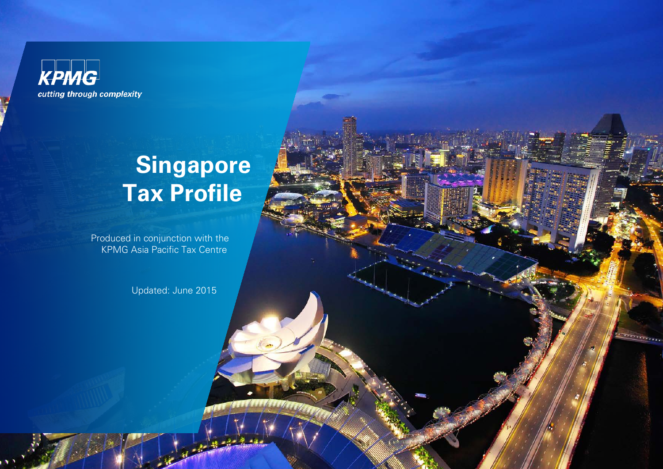**KPMG** cutting through complexity

# **Singapore Tax Profile**

Produced in conjunction with the **KPMG Asia Pacific Tax Centre** 

Updated: June 2015

<u>e montre</u>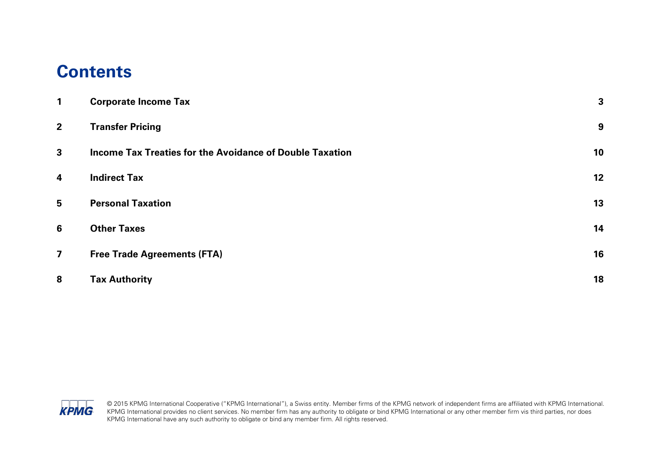## **Contents**

| 1                       | <b>Corporate Income Tax</b>                              | 3  |
|-------------------------|----------------------------------------------------------|----|
| $\overline{2}$          | <b>Transfer Pricing</b>                                  | 9  |
| $\mathbf{3}$            | Income Tax Treaties for the Avoidance of Double Taxation | 10 |
| $\overline{\mathbf{4}}$ | <b>Indirect Tax</b>                                      | 12 |
| 5                       | <b>Personal Taxation</b>                                 | 13 |
| 6                       | <b>Other Taxes</b>                                       | 14 |
| $\overline{\mathbf{z}}$ | <b>Free Trade Agreements (FTA)</b>                       | 16 |
| 8                       | <b>Tax Authority</b>                                     | 18 |

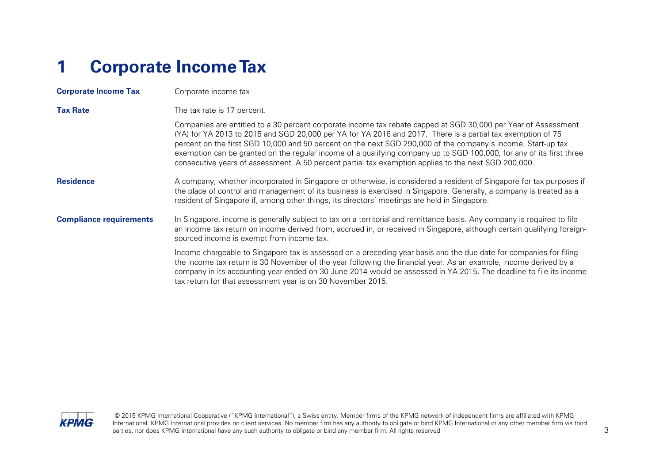# <span id="page-2-0"></span>**1 Corporate Income Tax**

| <b>Corporate Income Tax</b>    | Corporate income tax                                                                                                                                                                                                                                                                                                                                                                                                                                                                                                                                                          |  |  |
|--------------------------------|-------------------------------------------------------------------------------------------------------------------------------------------------------------------------------------------------------------------------------------------------------------------------------------------------------------------------------------------------------------------------------------------------------------------------------------------------------------------------------------------------------------------------------------------------------------------------------|--|--|
| <b>Tax Rate</b>                | The tax rate is 17 percent.                                                                                                                                                                                                                                                                                                                                                                                                                                                                                                                                                   |  |  |
|                                | Companies are entitled to a 30 percent corporate income tax rebate capped at SGD 30,000 per Year of Assessment<br>(YA) for YA 2013 to 2015 and SGD 20,000 per YA for YA 2016 and 2017. There is a partial tax exemption of 75<br>percent on the first SGD 10,000 and 50 percent on the next SGD 290,000 of the company's income. Start-up tax<br>exemption can be granted on the regular income of a qualifying company up to SGD 100,000, for any of its first three<br>consecutive years of assessment. A 50 percent partial tax exemption applies to the next SGD 200,000. |  |  |
| <b>Residence</b>               | A company, whether incorporated in Singapore or otherwise, is considered a resident of Singapore for tax purposes if<br>the place of control and management of its business is exercised in Singapore. Generally, a company is treated as a<br>resident of Singapore if, among other things, its directors' meetings are held in Singapore.                                                                                                                                                                                                                                   |  |  |
| <b>Compliance requirements</b> | In Singapore, income is generally subject to tax on a territorial and remittance basis. Any company is required to file<br>an income tax return on income derived from, accrued in, or received in Singapore, although certain qualifying foreign-<br>sourced income is exempt from income tax.                                                                                                                                                                                                                                                                               |  |  |
|                                | Income chargeable to Singapore tax is assessed on a preceding year basis and the due date for companies for filing<br>the income tax return is 30 November of the year following the financial year. As an example, income derived by a<br>company in its accounting year ended on 30 June 2014 would be assessed in YA 2015. The deadline to file its income<br>tax return for that assessment year is on 30 November 2015.                                                                                                                                                  |  |  |

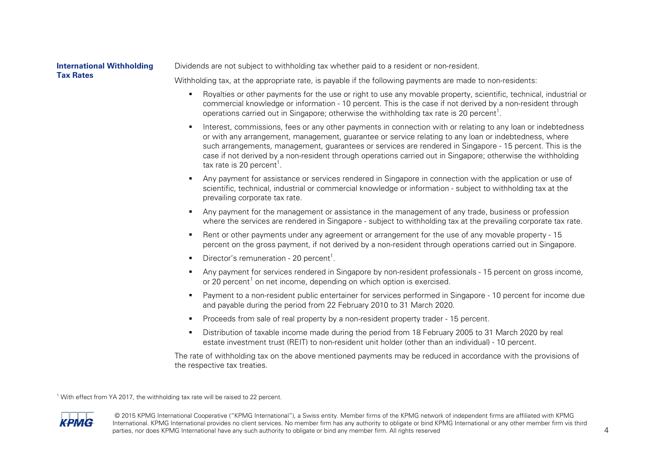### **International Withholding Tax Rates**

<span id="page-3-1"></span>Dividends are not subject to withholding tax whether paid to a resident or non-resident.

Withholding tax, at the appropriate rate, is payable if the following payments are made to non-residents:

- Royalties or other payments for the use or right to use any movable property, scientific, technical, industrial or commercial knowledge or information - 10 percent. This is the case if not derived by a non-resident through operations carried out in Singapore; otherwise the withholding tax rate is 20 percent<sup>[1](#page-3-0)</sup>.
- Interest, commissions, fees or any other payments in connection with or relating to any loan or indebtedness or with any arrangement, management, guarantee or service relating to any loan or indebtedness, where such arrangements, management, guarantees or services are rendered in Singapore - 15 percent. This is the case if not derived by a non-resident through operations carried out in Singapore; otherwise the withholding tax rate is 20 percent $^{\rm 1}.$  $^{\rm 1}.$
- Any payment for assistance or services rendered in Singapore in connection with the application or use of scientific, technical, industrial or commercial knowledge or information - subject to withholding tax at the prevailing corporate tax rate.
- Any payment for the management or assistance in the management of any trade, business or profession where the services are rendered in Singapore - subject to withholding tax at the prevailing corporate tax rate.
- Rent or other payments under any agreement or arrangement for the use of any movable property 15 percent on the gross payment, if not derived by a non-resident through operations carried out in Singapore.
- **•** Direc[t](#page-3-0)or's remuneration 20 percent<sup>1</sup>.
- <span id="page-3-0"></span> Any payment for services rendered in Singapore by non-resident professionals - 15 percent on gross income, or 20 percent<sup>[1](#page-3-1)</sup> on net income, depending on which option is exercised.
- Payment to a non-resident public entertainer for services performed in Singapore 10 percent for income due and payable during the period from 22 February 2010 to 31 March 2020.
- Proceeds from sale of real property by a non-resident property trader 15 percent.
- Distribution of taxable income made during the period from 18 February 2005 to 31 March 2020 by real estate investment trust (REIT) to non-resident unit holder (other than an individual) - 10 percent.

The rate of withholding tax on the above mentioned payments may be reduced in accordance with the provisions of the respective tax treaties.

<sup>1</sup> With effect from YA 2017, the withholding tax rate will be raised to 22 percent.

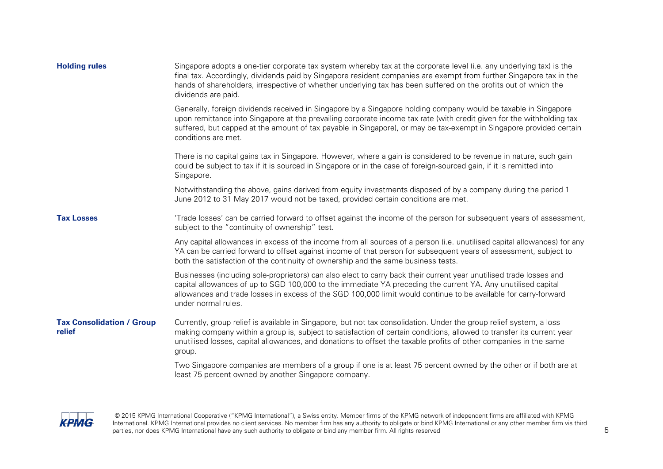| <b>Holding rules</b>                       | Singapore adopts a one-tier corporate tax system whereby tax at the corporate level (i.e. any underlying tax) is the<br>final tax. Accordingly, dividends paid by Singapore resident companies are exempt from further Singapore tax in the<br>hands of shareholders, irrespective of whether underlying tax has been suffered on the profits out of which the<br>dividends are paid.  |  |  |  |  |
|--------------------------------------------|----------------------------------------------------------------------------------------------------------------------------------------------------------------------------------------------------------------------------------------------------------------------------------------------------------------------------------------------------------------------------------------|--|--|--|--|
|                                            | Generally, foreign dividends received in Singapore by a Singapore holding company would be taxable in Singapore<br>upon remittance into Singapore at the prevailing corporate income tax rate (with credit given for the withholding tax<br>suffered, but capped at the amount of tax payable in Singapore), or may be tax-exempt in Singapore provided certain<br>conditions are met. |  |  |  |  |
|                                            | There is no capital gains tax in Singapore. However, where a gain is considered to be revenue in nature, such gain<br>could be subject to tax if it is sourced in Singapore or in the case of foreign-sourced gain, if it is remitted into<br>Singapore.                                                                                                                               |  |  |  |  |
|                                            | Notwithstanding the above, gains derived from equity investments disposed of by a company during the period 1<br>June 2012 to 31 May 2017 would not be taxed, provided certain conditions are met.                                                                                                                                                                                     |  |  |  |  |
| <b>Tax Losses</b>                          | 'Trade losses' can be carried forward to offset against the income of the person for subsequent years of assessment,<br>subject to the "continuity of ownership" test.                                                                                                                                                                                                                 |  |  |  |  |
|                                            | Any capital allowances in excess of the income from all sources of a person (i.e. unutilised capital allowances) for any<br>YA can be carried forward to offset against income of that person for subsequent years of assessment, subject to<br>both the satisfaction of the continuity of ownership and the same business tests.                                                      |  |  |  |  |
|                                            | Businesses (including sole-proprietors) can also elect to carry back their current year unutilised trade losses and<br>capital allowances of up to SGD 100,000 to the immediate YA preceding the current YA. Any unutilised capital<br>allowances and trade losses in excess of the SGD 100,000 limit would continue to be available for carry-forward<br>under normal rules.          |  |  |  |  |
| <b>Tax Consolidation / Group</b><br>relief | Currently, group relief is available in Singapore, but not tax consolidation. Under the group relief system, a loss<br>making company within a group is, subject to satisfaction of certain conditions, allowed to transfer its current year<br>unutilised losses, capital allowances, and donations to offset the taxable profits of other companies in the same<br>group.            |  |  |  |  |
|                                            | Two Singapore companies are members of a group if one is at least 75 percent owned by the other or if both are at<br>least 75 percent owned by another Singapore company.                                                                                                                                                                                                              |  |  |  |  |

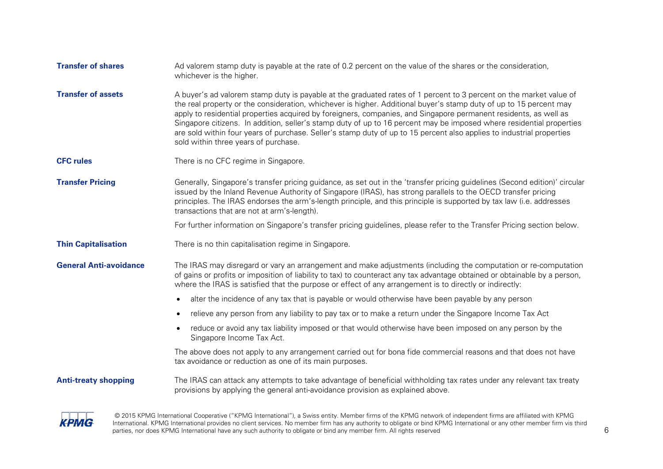| <b>Transfer of shares</b>     | Ad valorem stamp duty is payable at the rate of 0.2 percent on the value of the shares or the consideration,<br>whichever is the higher.                                                                                                                                                                                                                                                                                                                                                                                                                                                                                                              |
|-------------------------------|-------------------------------------------------------------------------------------------------------------------------------------------------------------------------------------------------------------------------------------------------------------------------------------------------------------------------------------------------------------------------------------------------------------------------------------------------------------------------------------------------------------------------------------------------------------------------------------------------------------------------------------------------------|
| <b>Transfer of assets</b>     | A buyer's ad valorem stamp duty is payable at the graduated rates of 1 percent to 3 percent on the market value of<br>the real property or the consideration, whichever is higher. Additional buyer's stamp duty of up to 15 percent may<br>apply to residential properties acquired by foreigners, companies, and Singapore permanent residents, as well as<br>Singapore citizens. In addition, seller's stamp duty of up to 16 percent may be imposed where residential properties<br>are sold within four years of purchase. Seller's stamp duty of up to 15 percent also applies to industrial properties<br>sold within three years of purchase. |
| <b>CFC rules</b>              | There is no CFC regime in Singapore.                                                                                                                                                                                                                                                                                                                                                                                                                                                                                                                                                                                                                  |
| <b>Transfer Pricing</b>       | Generally, Singapore's transfer pricing guidance, as set out in the 'transfer pricing guidelines (Second edition)' circular<br>issued by the Inland Revenue Authority of Singapore (IRAS), has strong parallels to the OECD transfer pricing<br>principles. The IRAS endorses the arm's-length principle, and this principle is supported by tax law (i.e. addresses<br>transactions that are not at arm's-length).                                                                                                                                                                                                                                   |
|                               | For further information on Singapore's transfer pricing guidelines, please refer to the Transfer Pricing section below.                                                                                                                                                                                                                                                                                                                                                                                                                                                                                                                               |
| <b>Thin Capitalisation</b>    | There is no thin capitalisation regime in Singapore.                                                                                                                                                                                                                                                                                                                                                                                                                                                                                                                                                                                                  |
| <b>General Anti-avoidance</b> | The IRAS may disregard or vary an arrangement and make adjustments (including the computation or re-computation<br>of gains or profits or imposition of liability to tax) to counteract any tax advantage obtained or obtainable by a person,<br>where the IRAS is satisfied that the purpose or effect of any arrangement is to directly or indirectly:                                                                                                                                                                                                                                                                                              |
|                               | alter the incidence of any tax that is payable or would otherwise have been payable by any person<br>$\bullet$                                                                                                                                                                                                                                                                                                                                                                                                                                                                                                                                        |
|                               | relieve any person from any liability to pay tax or to make a return under the Singapore Income Tax Act<br>$\bullet$                                                                                                                                                                                                                                                                                                                                                                                                                                                                                                                                  |
|                               | reduce or avoid any tax liability imposed or that would otherwise have been imposed on any person by the<br>$\bullet$<br>Singapore Income Tax Act.                                                                                                                                                                                                                                                                                                                                                                                                                                                                                                    |
|                               | The above does not apply to any arrangement carried out for bona fide commercial reasons and that does not have<br>tax avoidance or reduction as one of its main purposes.                                                                                                                                                                                                                                                                                                                                                                                                                                                                            |
| <b>Anti-treaty shopping</b>   | The IRAS can attack any attempts to take advantage of beneficial withholding tax rates under any relevant tax treaty<br>provisions by applying the general anti-avoidance provision as explained above.                                                                                                                                                                                                                                                                                                                                                                                                                                               |
|                               |                                                                                                                                                                                                                                                                                                                                                                                                                                                                                                                                                                                                                                                       |

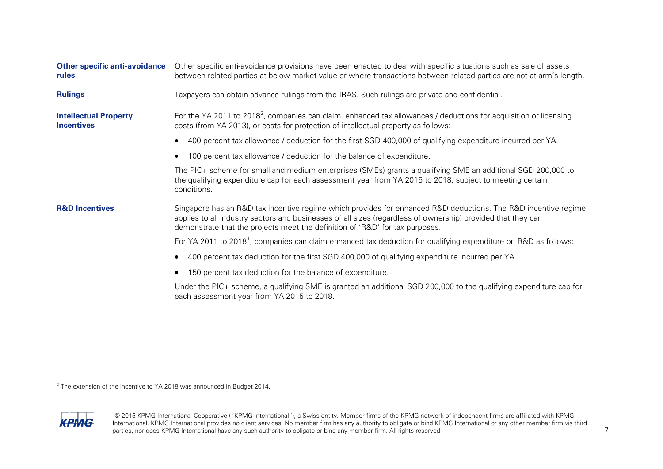<span id="page-6-1"></span><span id="page-6-0"></span>

| <b>Other specific anti-avoidance</b><br>rules     | Other specific anti-avoidance provisions have been enacted to deal with specific situations such as sale of assets<br>between related parties at below market value or where transactions between related parties are not at arm's length.                                                                     |  |  |
|---------------------------------------------------|----------------------------------------------------------------------------------------------------------------------------------------------------------------------------------------------------------------------------------------------------------------------------------------------------------------|--|--|
| <b>Rulings</b>                                    | Taxpayers can obtain advance rulings from the IRAS. Such rulings are private and confidential.                                                                                                                                                                                                                 |  |  |
| <b>Intellectual Property</b><br><b>Incentives</b> | For the YA 2011 to 2018 <sup>2</sup> , companies can claim enhanced tax allowances / deductions for acquisition or licensing<br>costs (from YA 2013), or costs for protection of intellectual property as follows:                                                                                             |  |  |
|                                                   | 400 percent tax allowance / deduction for the first SGD 400,000 of qualifying expenditure incurred per YA.                                                                                                                                                                                                     |  |  |
|                                                   | 100 percent tax allowance / deduction for the balance of expenditure.                                                                                                                                                                                                                                          |  |  |
|                                                   | The PIC+ scheme for small and medium enterprises (SMEs) grants a qualifying SME an additional SGD 200,000 to<br>the qualifying expenditure cap for each assessment year from YA 2015 to 2018, subject to meeting certain<br>conditions.                                                                        |  |  |
| <b>R&amp;D Incentives</b>                         | Singapore has an R&D tax incentive regime which provides for enhanced R&D deductions. The R&D incentive regime<br>applies to all industry sectors and businesses of all sizes (regardless of ownership) provided that they can<br>demonstrate that the projects meet the definition of 'R&D' for tax purposes. |  |  |
|                                                   | For YA 2011 to 2018 <sup>1</sup> , companies can claim enhanced tax deduction for qualifying expenditure on R&D as follows:                                                                                                                                                                                    |  |  |
|                                                   | 400 percent tax deduction for the first SGD 400,000 of qualifying expenditure incurred per YA                                                                                                                                                                                                                  |  |  |
|                                                   | 150 percent tax deduction for the balance of expenditure.                                                                                                                                                                                                                                                      |  |  |
|                                                   | Under the PIC+ scheme, a qualifying SME is granted an additional SGD 200,000 to the qualifying expenditure cap for<br>each assessment year from YA 2015 to 2018.                                                                                                                                               |  |  |

 $^{2}$  The extension of the incentive to YA 2018 was announced in Budget 2014.

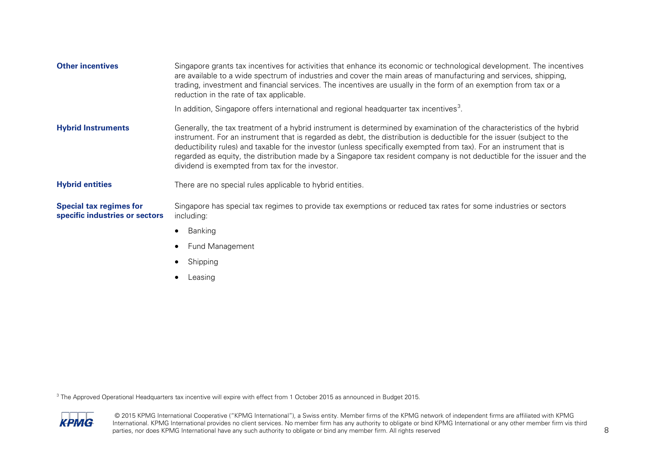<span id="page-7-0"></span>

| <b>Other incentives</b>                                          | Singapore grants tax incentives for activities that enhance its economic or technological development. The incentives<br>are available to a wide spectrum of industries and cover the main areas of manufacturing and services, shipping,<br>trading, investment and financial services. The incentives are usually in the form of an exemption from tax or a<br>reduction in the rate of tax applicable.                                                                                                                                           |
|------------------------------------------------------------------|-----------------------------------------------------------------------------------------------------------------------------------------------------------------------------------------------------------------------------------------------------------------------------------------------------------------------------------------------------------------------------------------------------------------------------------------------------------------------------------------------------------------------------------------------------|
|                                                                  | In addition, Singapore offers international and regional headquarter tax incentives <sup>3</sup> .                                                                                                                                                                                                                                                                                                                                                                                                                                                  |
| <b>Hybrid Instruments</b>                                        | Generally, the tax treatment of a hybrid instrument is determined by examination of the characteristics of the hybrid<br>instrument. For an instrument that is regarded as debt, the distribution is deductible for the issuer (subject to the<br>deductibility rules) and taxable for the investor (unless specifically exempted from tax). For an instrument that is<br>regarded as equity, the distribution made by a Singapore tax resident company is not deductible for the issuer and the<br>dividend is exempted from tax for the investor. |
| <b>Hybrid entities</b>                                           | There are no special rules applicable to hybrid entities.                                                                                                                                                                                                                                                                                                                                                                                                                                                                                           |
| <b>Special tax regimes for</b><br>specific industries or sectors | Singapore has special tax regimes to provide tax exemptions or reduced tax rates for some industries or sectors<br>including:                                                                                                                                                                                                                                                                                                                                                                                                                       |
|                                                                  | Banking                                                                                                                                                                                                                                                                                                                                                                                                                                                                                                                                             |
|                                                                  | Fund Management                                                                                                                                                                                                                                                                                                                                                                                                                                                                                                                                     |

- Shipping
- Leasing

 $3$  The Approved Operational Headquarters tax incentive will expire with effect from 1 October 2015 as announced in Budget 2015.

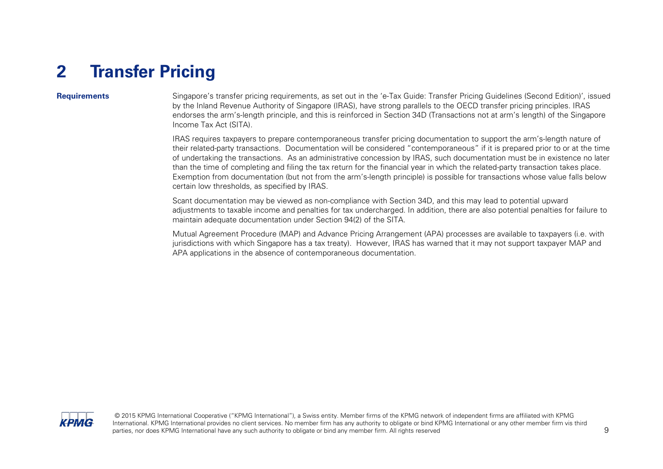# <span id="page-8-0"></span>**2 Transfer Pricing**

**Requirements** Singapore's transfer pricing requirements, as set out in the 'e-Tax Guide: Transfer Pricing Guidelines (Second Edition)', issued by the Inland Revenue Authority of Singapore (IRAS), have strong parallels to the OECD transfer pricing principles. IRAS endorses the arm's-length principle, and this is reinforced in Section 34D (Transactions not at arm's length) of the Singapore Income Tax Act (SITA).

> IRAS requires taxpayers to prepare contemporaneous transfer pricing documentation to support the arm's-length nature of their related-party transactions. Documentation will be considered "contemporaneous" if it is prepared prior to or at the time of undertaking the transactions. As an administrative concession by IRAS, such documentation must be in existence no later than the time of completing and filing the tax return for the financial year in which the related-party transaction takes place. Exemption from documentation (but not from the arm's-length principle) is possible for transactions whose value falls below certain low thresholds, as specified by IRAS.

> Scant documentation may be viewed as non-compliance with Section 34D, and this may lead to potential upward adjustments to taxable income and penalties for tax undercharged. In addition, there are also potential penalties for failure to maintain adequate documentation under Section 94(2) of the SITA.

> Mutual Agreement Procedure (MAP) and Advance Pricing Arrangement (APA) processes are available to taxpayers (i.e. with jurisdictions with which Singapore has a tax treaty). However, IRAS has warned that it may not support taxpayer MAP and APA applications in the absence of contemporaneous documentation.

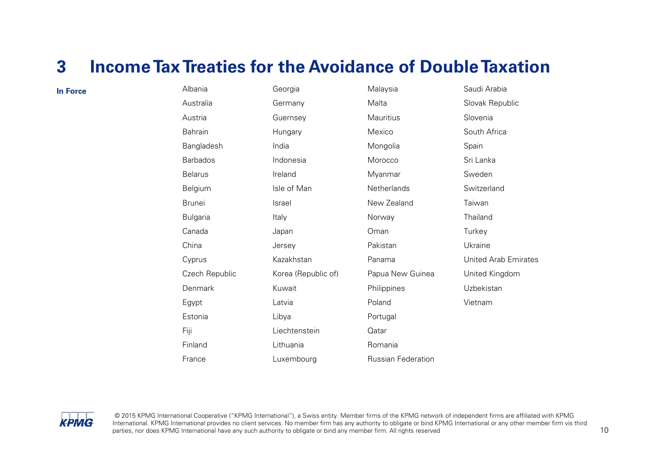## <span id="page-9-0"></span>**3 Income TaxTreaties for the Avoidance of Double Taxation**

|                 |                     |                           | Saudi Arabia                |
|-----------------|---------------------|---------------------------|-----------------------------|
| Australia       | Germany             | Malta                     | Slovak Republic             |
| Austria         | Guernsey            | Mauritius                 | Slovenia                    |
| Bahrain         | Hungary             | Mexico                    | South Africa                |
| Bangladesh      | India               | Mongolia                  | Spain                       |
| <b>Barbados</b> | Indonesia           | Morocco                   | Sri Lanka                   |
| <b>Belarus</b>  | Ireland             | Myanmar                   | Sweden                      |
| Belgium         | Isle of Man         | Netherlands               | Switzerland                 |
| <b>Brunei</b>   | <b>Israel</b>       | New Zealand               | Taiwan                      |
| <b>Bulgaria</b> | Italy               | Norway                    | Thailand                    |
| Canada          | Japan               | Oman                      | Turkey                      |
| China           | Jersey              | Pakistan                  | Ukraine                     |
| Cyprus          | Kazakhstan          | Panama                    | <b>United Arab Emirates</b> |
| Czech Republic  | Korea (Republic of) | Papua New Guinea          | United Kingdom              |
| Denmark         | Kuwait              | Philippines               | Uzbekistan                  |
| Egypt           | Latvia              | Poland                    | Vietnam                     |
| Estonia         | Libya               | Portugal                  |                             |
| Fiji            | Liechtenstein       | Qatar                     |                             |
| Finland         | Lithuania           | Romania                   |                             |
| France          | Luxembourg          | <b>Russian Federation</b> |                             |
|                 | Albania             | Georgia                   | Malaysia                    |

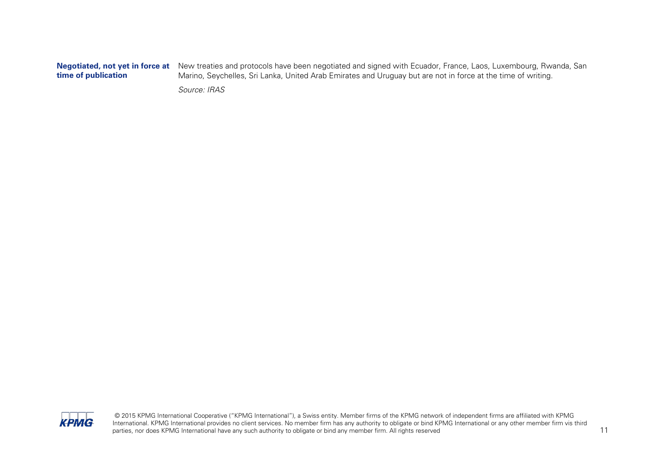## **time of publication**

**Negotiated, not yet in force at** New treaties and protocols have been negotiated and signed with Ecuador, France, Laos, Luxembourg, Rwanda, San Marino, Seychelles, Sri Lanka, United Arab Emirates and Uruguay but are not in force at the time of writing.

Source: IRAS

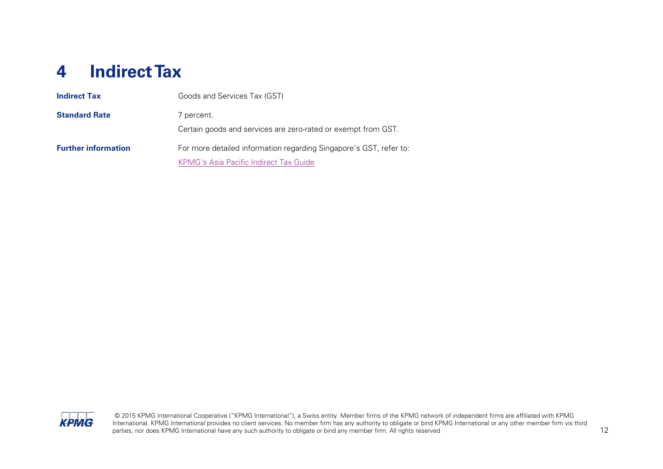# <span id="page-11-0"></span>**4 Indirect Tax**

| <b>Indirect Tax</b>        | Goods and Services Tax (GST)                                                |  |
|----------------------------|-----------------------------------------------------------------------------|--|
| <b>Standard Rate</b>       | 7 percent.<br>Certain goods and services are zero-rated or exempt from GST. |  |
| <b>Further information</b> | For more detailed information regarding Singapore's GST, refer to:          |  |
|                            | KPMG's Asia Pacific Indirect Tax Guide                                      |  |

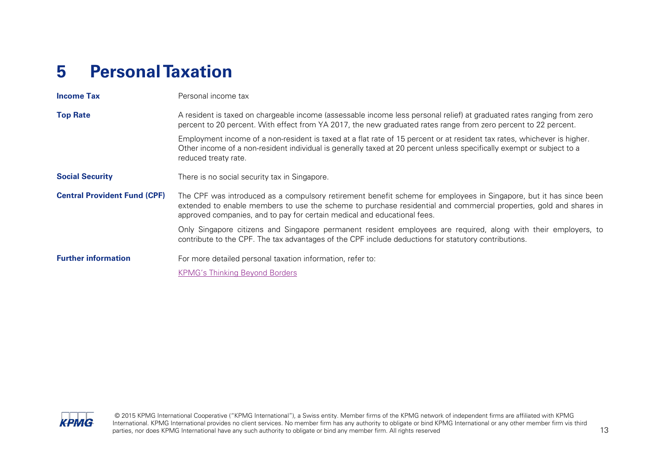# <span id="page-12-0"></span>**5 Personal Taxation**

| <b>Income Tax</b>                   | Personal income tax                                                                                                                                                                                                                                                                                                  |  |  |
|-------------------------------------|----------------------------------------------------------------------------------------------------------------------------------------------------------------------------------------------------------------------------------------------------------------------------------------------------------------------|--|--|
| <b>Top Rate</b>                     | A resident is taxed on chargeable income (assessable income less personal relief) at graduated rates ranging from zero<br>percent to 20 percent. With effect from YA 2017, the new graduated rates range from zero percent to 22 percent.                                                                            |  |  |
|                                     | Employment income of a non-resident is taxed at a flat rate of 15 percent or at resident tax rates, whichever is higher.<br>Other income of a non-resident individual is generally taxed at 20 percent unless specifically exempt or subject to a<br>reduced treaty rate.                                            |  |  |
| <b>Social Security</b>              | There is no social security tax in Singapore.                                                                                                                                                                                                                                                                        |  |  |
| <b>Central Provident Fund (CPF)</b> | The CPF was introduced as a compulsory retirement benefit scheme for employees in Singapore, but it has since been<br>extended to enable members to use the scheme to purchase residential and commercial properties, gold and shares in<br>approved companies, and to pay for certain medical and educational fees. |  |  |
|                                     | Only Singapore citizens and Singapore permanent resident employees are required, along with their employers, to<br>contribute to the CPF. The tax advantages of the CPF include deductions for statutory contributions.                                                                                              |  |  |
| <b>Further information</b>          | For more detailed personal taxation information, refer to:                                                                                                                                                                                                                                                           |  |  |
|                                     | <b>KPMG's Thinking Beyond Borders</b>                                                                                                                                                                                                                                                                                |  |  |

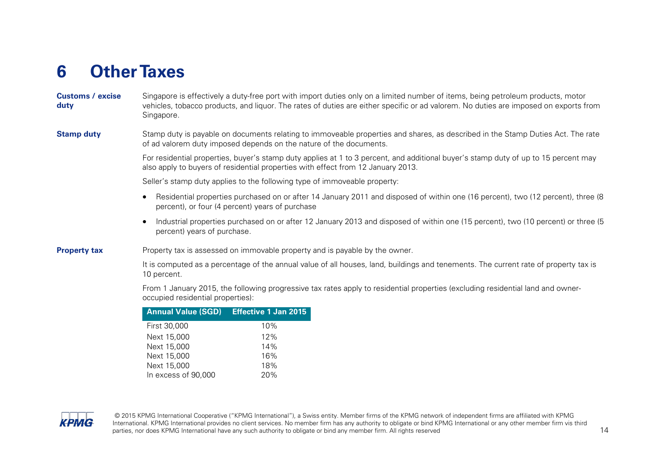# <span id="page-13-0"></span>**6 Other Taxes**

**Customs / excise duty** Singapore is effectively a duty-free port with import duties only on a limited number of items, being petroleum products, motor vehicles, tobacco products, and liquor. The rates of duties are either specific or ad valorem. No duties are imposed on exports from Singapore.

### **Stamp duty** Stamp duty is payable on documents relating to immoveable properties and shares, as described in the Stamp Duties Act. The rate of ad valorem duty imposed depends on the nature of the documents.

For residential properties, buyer's stamp duty applies at 1 to 3 percent, and additional buyer's stamp duty of up to 15 percent may also apply to buyers of residential properties with effect from 12 January 2013.

Seller's stamp duty applies to the following type of immoveable property:

- Residential properties purchased on or after 14 January 2011 and disposed of within one (16 percent), two (12 percent), three (8 percent), or four (4 percent) years of purchase
- Industrial properties purchased on or after 12 January 2013 and disposed of within one (15 percent), two (10 percent) or three (5 percent) years of purchase.

#### **Property tax** Property tax is assessed on immovable property and is payable by the owner.

It is computed as a percentage of the annual value of all houses, land, buildings and tenements. The current rate of property tax is 10 percent.

From 1 January 2015, the following progressive tax rates apply to residential properties (excluding residential land and owneroccupied residential properties):

| <b>Annual Value (SGD)</b> | <b>Effective 1 Jan 2015</b> |
|---------------------------|-----------------------------|
| First 30,000              | 10%                         |
| Next 15,000               | 12%                         |
| Next 15,000               | 14%                         |
| Next 15,000               | 16%                         |
| Next 15,000               | 18%                         |
| In excess of 90,000       | 20%                         |

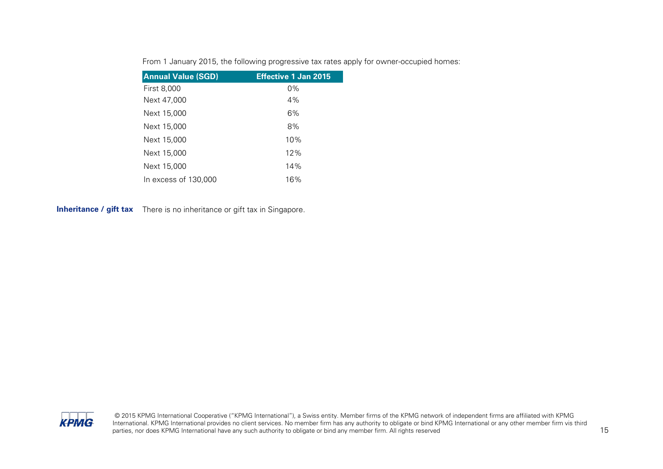|  |  |  |  |  | From 1 January 2015, the following progressive tax rates apply for owner-occupied homes: |
|--|--|--|--|--|------------------------------------------------------------------------------------------|
|--|--|--|--|--|------------------------------------------------------------------------------------------|

| <b>Annual Value (SGD)</b> | <b>Effective 1 Jan 2015</b> |
|---------------------------|-----------------------------|
| First 8,000               | $0\%$                       |
| Next 47,000               | 4%                          |
| Next 15,000               | 6%                          |
| Next 15,000               | 8%                          |
| Next 15,000               | 10%                         |
| Next 15,000               | 12%                         |
| Next 15,000               | 14%                         |
| In excess of 130,000      | 16%                         |

**Inheritance / gift tax** There is no inheritance or gift tax in Singapore.

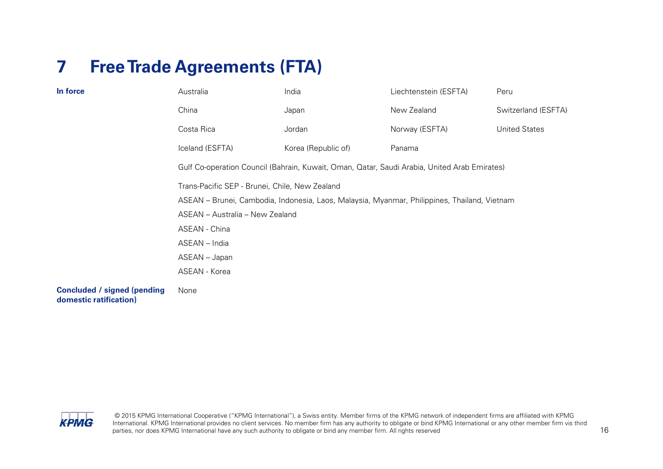# <span id="page-15-0"></span>**7 Free Trade Agreements (FTA)**

| In force                                                     | Australia                                                                                    | India               | Liechtenstein (ESFTA) | Peru                 |  |  |
|--------------------------------------------------------------|----------------------------------------------------------------------------------------------|---------------------|-----------------------|----------------------|--|--|
|                                                              | China                                                                                        | Japan               | New Zealand           | Switzerland (ESFTA)  |  |  |
|                                                              | Costa Rica                                                                                   | Jordan              | Norway (ESFTA)        | <b>United States</b> |  |  |
|                                                              | Iceland (ESFTA)                                                                              | Korea (Republic of) | Panama                |                      |  |  |
|                                                              | Gulf Co-operation Council (Bahrain, Kuwait, Oman, Qatar, Saudi Arabia, United Arab Emirates) |                     |                       |                      |  |  |
|                                                              | Trans-Pacific SEP - Brunei, Chile, New Zealand                                               |                     |                       |                      |  |  |
|                                                              | ASEAN – Brunei, Cambodia, Indonesia, Laos, Malaysia, Myanmar, Philippines, Thailand, Vietnam |                     |                       |                      |  |  |
|                                                              | ASEAN - Australia - New Zealand                                                              |                     |                       |                      |  |  |
|                                                              | ASEAN - China                                                                                |                     |                       |                      |  |  |
|                                                              | ASEAN - India                                                                                |                     |                       |                      |  |  |
|                                                              | ASEAN - Japan                                                                                |                     |                       |                      |  |  |
|                                                              | ASEAN - Korea                                                                                |                     |                       |                      |  |  |
| <b>Concluded / signed (pending</b><br>domestic ratification) | None                                                                                         |                     |                       |                      |  |  |

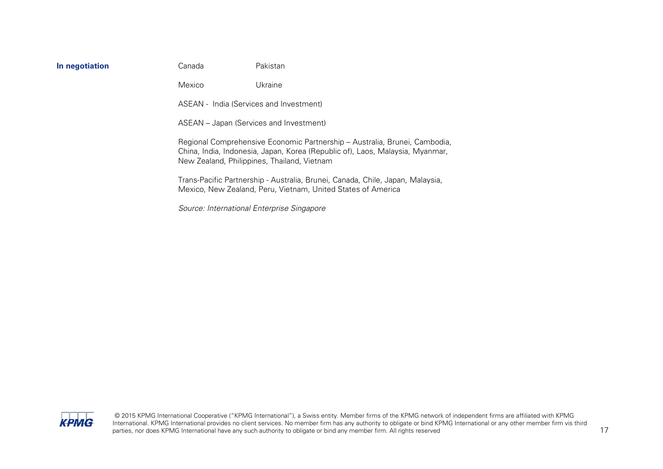|  |  |  | In negotiation |  |
|--|--|--|----------------|--|
|--|--|--|----------------|--|

**In negotiation** Canada Pakistan

Mexico Ukraine

ASEAN - India (Services and Investment)

ASEAN – Japan (Services and Investment)

Regional Comprehensive Economic Partnership – Australia, Brunei, Cambodia, China, India, Indonesia, Japan, Korea (Republic of), Laos, Malaysia, Myanmar, New Zealand, Philippines, Thailand, Vietnam

Trans-Pacific Partnership - Australia, Brunei, Canada, Chile, Japan, Malaysia, Mexico, New Zealand, Peru, Vietnam, United States of America

Source: International Enterprise Singapore

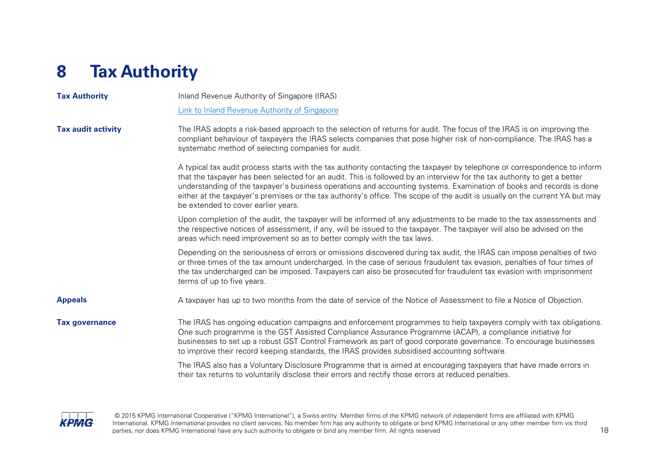# <span id="page-17-0"></span>**8 Tax Authority**

| <b>Tax Authority</b>      | Inland Revenue Authority of Singapore (IRAS)                                                                                                                                                                                                                                                                                                                                                                                                                                                                                                          |  |  |  |
|---------------------------|-------------------------------------------------------------------------------------------------------------------------------------------------------------------------------------------------------------------------------------------------------------------------------------------------------------------------------------------------------------------------------------------------------------------------------------------------------------------------------------------------------------------------------------------------------|--|--|--|
|                           | Link to Inland Revenue Authority of Singapore                                                                                                                                                                                                                                                                                                                                                                                                                                                                                                         |  |  |  |
| <b>Tax audit activity</b> | The IRAS adopts a risk-based approach to the selection of returns for audit. The focus of the IRAS is on improving the<br>compliant behaviour of taxpayers the IRAS selects companies that pose higher risk of non-compliance. The IRAS has a<br>systematic method of selecting companies for audit.                                                                                                                                                                                                                                                  |  |  |  |
|                           | A typical tax audit process starts with the tax authority contacting the taxpayer by telephone or correspondence to inform<br>that the taxpayer has been selected for an audit. This is followed by an interview for the tax authority to get a better<br>understanding of the taxpayer's business operations and accounting systems. Examination of books and records is done<br>either at the taxpayer's premises or the tax authority's office. The scope of the audit is usually on the current YA but may<br>be extended to cover earlier years. |  |  |  |
|                           | Upon completion of the audit, the taxpayer will be informed of any adjustments to be made to the tax assessments and<br>the respective notices of assessment, if any, will be issued to the taxpayer. The taxpayer will also be advised on the<br>areas which need improvement so as to better comply with the tax laws.                                                                                                                                                                                                                              |  |  |  |
|                           | Depending on the seriousness of errors or omissions discovered during tax audit, the IRAS can impose penalties of two<br>or three times of the tax amount undercharged. In the case of serious fraudulent tax evasion, penalties of four times of<br>the tax undercharged can be imposed. Taxpayers can also be prosecuted for fraudulent tax evasion with imprisonment<br>terms of up to five years.                                                                                                                                                 |  |  |  |
| <b>Appeals</b>            | A taxpayer has up to two months from the date of service of the Notice of Assessment to file a Notice of Objection.                                                                                                                                                                                                                                                                                                                                                                                                                                   |  |  |  |
| <b>Tax governance</b>     | The IRAS has ongoing education campaigns and enforcement programmes to help taxpayers comply with tax obligations.<br>One such programme is the GST Assisted Compliance Assurance Programme (ACAP), a compliance initiative for<br>businesses to set up a robust GST Control Framework as part of good corporate governance. To encourage businesses<br>to improve their record keeping standards, the IRAS provides subsidised accounting software.                                                                                                  |  |  |  |
|                           | The IRAS also has a Voluntary Disclosure Programme that is aimed at encouraging taxpayers that have made errors in<br>their tax returns to voluntarily disclose their errors and rectify those errors at reduced penalties.                                                                                                                                                                                                                                                                                                                           |  |  |  |
|                           |                                                                                                                                                                                                                                                                                                                                                                                                                                                                                                                                                       |  |  |  |